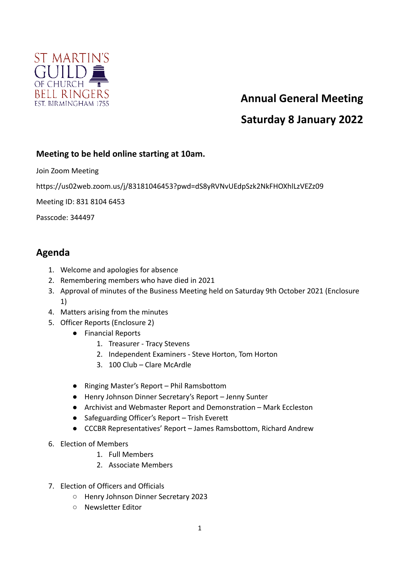

## **Annual General Meeting**

## **Saturday 8 January 2022**

## **Meeting to be held online starting at 10am.**

Join Zoom Meeting

https://us02web.zoom.us/j/83181046453?pwd=dS8yRVNvUEdpSzk2NkFHOXhlLzVEZz09

Meeting ID: 831 8104 6453

Passcode: 344497

## **Agenda**

- 1. Welcome and apologies for absence
- 2. Remembering members who have died in 2021
- 3. Approval of minutes of the Business Meeting held on Saturday 9th October 2021 (Enclosure 1)
- 4. Matters arising from the minutes
- 5. Officer Reports (Enclosure 2)
	- Financial Reports
		- 1. Treasurer Tracy Stevens
		- 2. Independent Examiners Steve Horton, Tom Horton
		- 3. 100 Club Clare McArdle
	- Ringing Master's Report Phil Ramsbottom
	- Henry Johnson Dinner Secretary's Report Jenny Sunter
	- Archivist and Webmaster Report and Demonstration Mark Eccleston
	- Safeguarding Officer's Report Trish Everett
	- CCCBR Representatives' Report James Ramsbottom, Richard Andrew
- 6. Election of Members
	- 1. Full Members
	- 2. Associate Members
- 7. Election of Officers and Officials
	- Henry Johnson Dinner Secretary 2023
	- Newsletter Editor